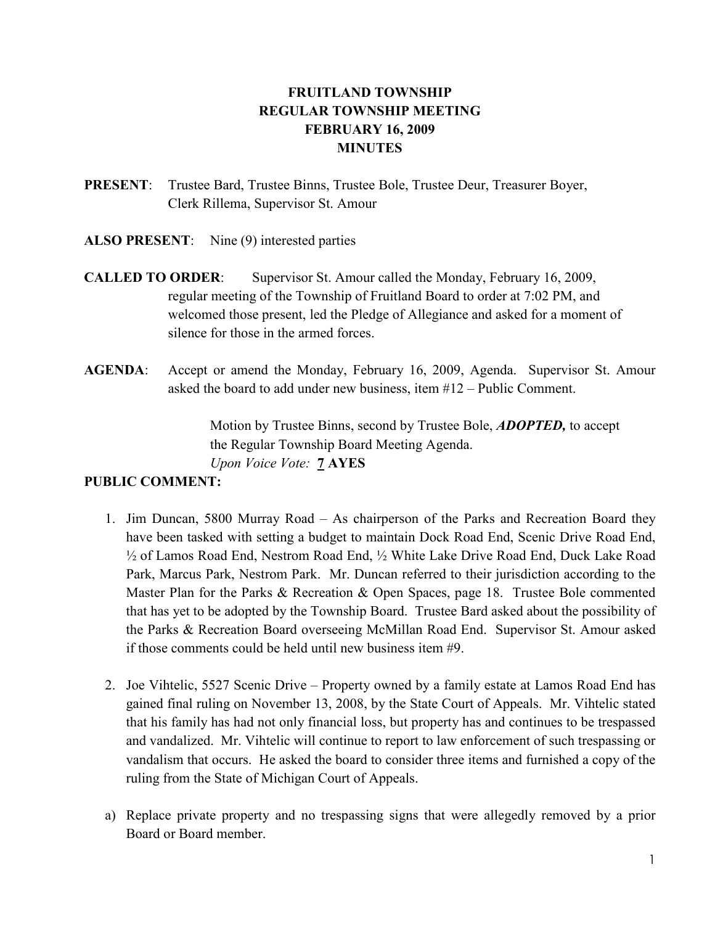# FRUITLAND TOWNSHIP REGULAR TOWNSHIP MEETING FEBRUARY 16, 2009 **MINUTES**

- PRESENT: Trustee Bard, Trustee Binns, Trustee Bole, Trustee Deur, Treasurer Boyer, Clerk Rillema, Supervisor St. Amour
- ALSO PRESENT: Nine (9) interested parties
- CALLED TO ORDER: Supervisor St. Amour called the Monday, February 16, 2009, regular meeting of the Township of Fruitland Board to order at 7:02 PM, and welcomed those present, led the Pledge of Allegiance and asked for a moment of silence for those in the armed forces.
- AGENDA: Accept or amend the Monday, February 16, 2009, Agenda. Supervisor St. Amour asked the board to add under new business, item #12 – Public Comment.

Motion by Trustee Binns, second by Trustee Bole, **ADOPTED**, to accept the Regular Township Board Meeting Agenda. Upon Voice Vote: 7 AYES

## PUBLIC COMMENT:

- 1. Jim Duncan, 5800 Murray Road As chairperson of the Parks and Recreation Board they have been tasked with setting a budget to maintain Dock Road End, Scenic Drive Road End, ½ of Lamos Road End, Nestrom Road End, ½ White Lake Drive Road End, Duck Lake Road Park, Marcus Park, Nestrom Park. Mr. Duncan referred to their jurisdiction according to the Master Plan for the Parks & Recreation & Open Spaces, page 18. Trustee Bole commented that has yet to be adopted by the Township Board. Trustee Bard asked about the possibility of the Parks & Recreation Board overseeing McMillan Road End. Supervisor St. Amour asked if those comments could be held until new business item #9.
- 2. Joe Vihtelic, 5527 Scenic Drive Property owned by a family estate at Lamos Road End has gained final ruling on November 13, 2008, by the State Court of Appeals. Mr. Vihtelic stated that his family has had not only financial loss, but property has and continues to be trespassed and vandalized. Mr. Vihtelic will continue to report to law enforcement of such trespassing or vandalism that occurs. He asked the board to consider three items and furnished a copy of the ruling from the State of Michigan Court of Appeals.
- a) Replace private property and no trespassing signs that were allegedly removed by a prior Board or Board member.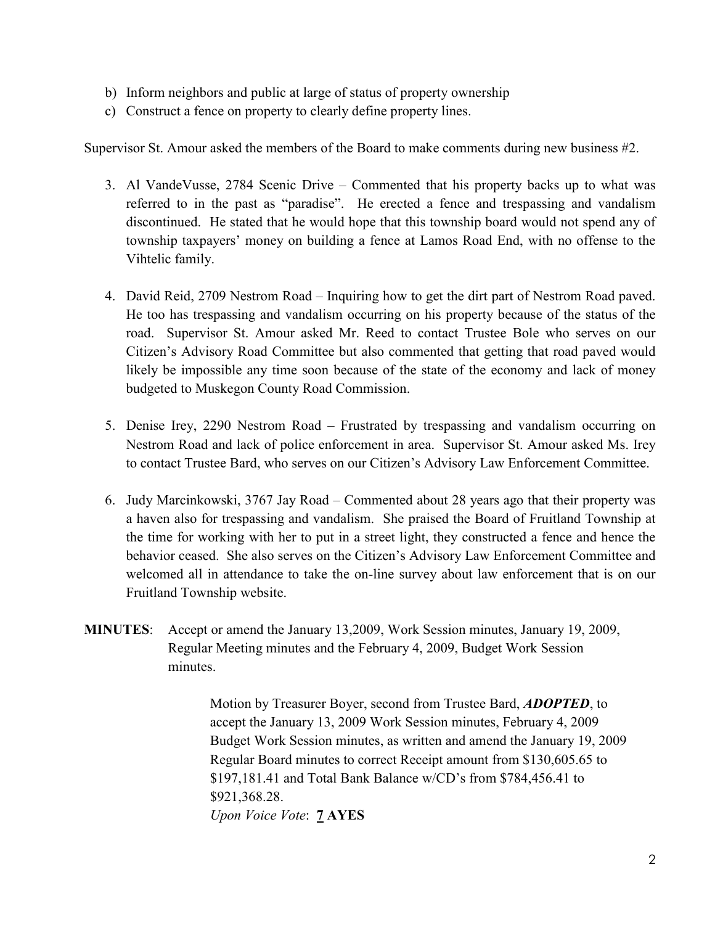- b) Inform neighbors and public at large of status of property ownership
- c) Construct a fence on property to clearly define property lines.

Supervisor St. Amour asked the members of the Board to make comments during new business #2.

- 3. Al VandeVusse, 2784 Scenic Drive Commented that his property backs up to what was referred to in the past as "paradise". He erected a fence and trespassing and vandalism discontinued. He stated that he would hope that this township board would not spend any of township taxpayers' money on building a fence at Lamos Road End, with no offense to the Vihtelic family.
- 4. David Reid, 2709 Nestrom Road Inquiring how to get the dirt part of Nestrom Road paved. He too has trespassing and vandalism occurring on his property because of the status of the road. Supervisor St. Amour asked Mr. Reed to contact Trustee Bole who serves on our Citizen's Advisory Road Committee but also commented that getting that road paved would likely be impossible any time soon because of the state of the economy and lack of money budgeted to Muskegon County Road Commission.
- 5. Denise Irey, 2290 Nestrom Road Frustrated by trespassing and vandalism occurring on Nestrom Road and lack of police enforcement in area. Supervisor St. Amour asked Ms. Irey to contact Trustee Bard, who serves on our Citizen's Advisory Law Enforcement Committee.
- 6. Judy Marcinkowski, 3767 Jay Road Commented about 28 years ago that their property was a haven also for trespassing and vandalism. She praised the Board of Fruitland Township at the time for working with her to put in a street light, they constructed a fence and hence the behavior ceased. She also serves on the Citizen's Advisory Law Enforcement Committee and welcomed all in attendance to take the on-line survey about law enforcement that is on our Fruitland Township website.
- MINUTES: Accept or amend the January 13,2009, Work Session minutes, January 19, 2009, Regular Meeting minutes and the February 4, 2009, Budget Work Session minutes.

Motion by Treasurer Boyer, second from Trustee Bard, **ADOPTED**, to accept the January 13, 2009 Work Session minutes, February 4, 2009 Budget Work Session minutes, as written and amend the January 19, 2009 Regular Board minutes to correct Receipt amount from \$130,605.65 to \$197,181.41 and Total Bank Balance w/CD's from \$784,456.41 to \$921,368.28. Upon Voice Vote: **7 AYES**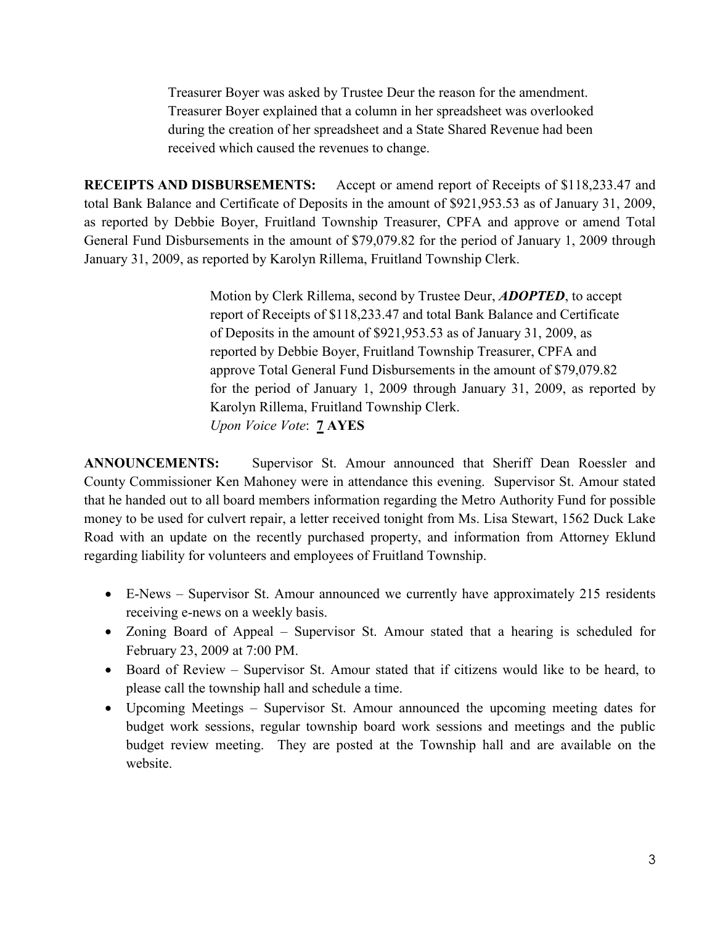Treasurer Boyer was asked by Trustee Deur the reason for the amendment. Treasurer Boyer explained that a column in her spreadsheet was overlooked during the creation of her spreadsheet and a State Shared Revenue had been received which caused the revenues to change.

RECEIPTS AND DISBURSEMENTS: Accept or amend report of Receipts of \$118,233.47 and total Bank Balance and Certificate of Deposits in the amount of \$921,953.53 as of January 31, 2009, as reported by Debbie Boyer, Fruitland Township Treasurer, CPFA and approve or amend Total General Fund Disbursements in the amount of \$79,079.82 for the period of January 1, 2009 through January 31, 2009, as reported by Karolyn Rillema, Fruitland Township Clerk.

> Motion by Clerk Rillema, second by Trustee Deur, **ADOPTED**, to accept report of Receipts of \$118,233.47 and total Bank Balance and Certificate of Deposits in the amount of \$921,953.53 as of January 31, 2009, as reported by Debbie Boyer, Fruitland Township Treasurer, CPFA and approve Total General Fund Disbursements in the amount of \$79,079.82 for the period of January 1, 2009 through January 31, 2009, as reported by Karolyn Rillema, Fruitland Township Clerk. Upon Voice Vote: 7 AYES

ANNOUNCEMENTS: Supervisor St. Amour announced that Sheriff Dean Roessler and County Commissioner Ken Mahoney were in attendance this evening. Supervisor St. Amour stated that he handed out to all board members information regarding the Metro Authority Fund for possible money to be used for culvert repair, a letter received tonight from Ms. Lisa Stewart, 1562 Duck Lake Road with an update on the recently purchased property, and information from Attorney Eklund regarding liability for volunteers and employees of Fruitland Township.

- E-News Supervisor St. Amour announced we currently have approximately 215 residents receiving e-news on a weekly basis.
- Zoning Board of Appeal Supervisor St. Amour stated that a hearing is scheduled for February 23, 2009 at 7:00 PM.
- Board of Review Supervisor St. Amour stated that if citizens would like to be heard, to please call the township hall and schedule a time.
- Upcoming Meetings Supervisor St. Amour announced the upcoming meeting dates for budget work sessions, regular township board work sessions and meetings and the public budget review meeting. They are posted at the Township hall and are available on the website.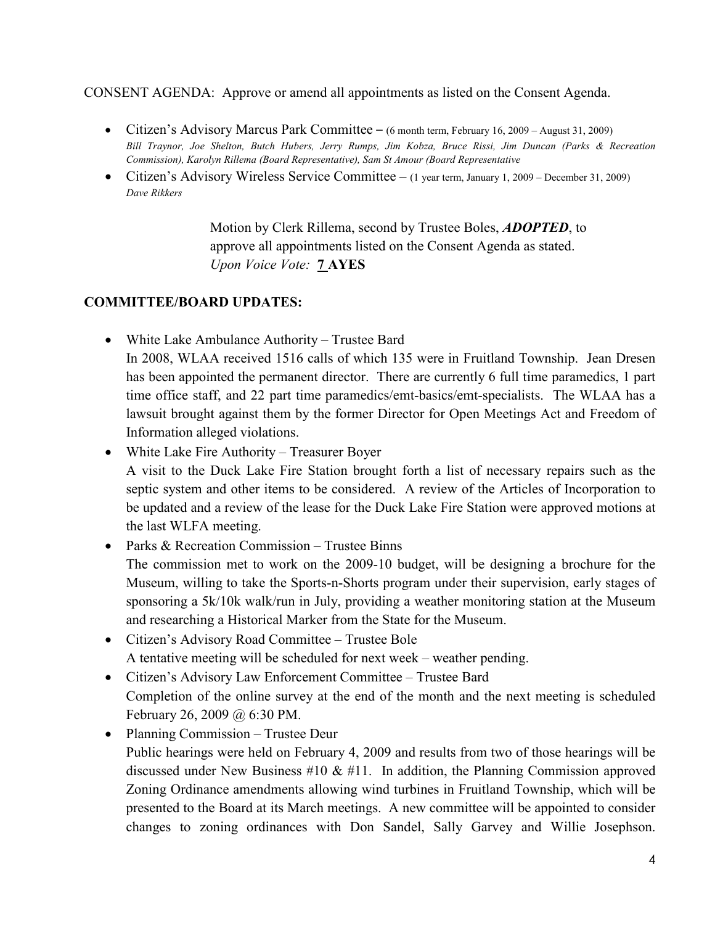CONSENT AGENDA: Approve or amend all appointments as listed on the Consent Agenda.

- Citizen's Advisory Marcus Park Committee (6 month term, February 16, 2009 August 31, 2009) Bill Traynor, Joe Shelton, Butch Hubers, Jerry Rumps, Jim Kobza, Bruce Rissi, Jim Duncan (Parks & Recreation Commission), Karolyn Rillema (Board Representative), Sam St Amour (Board Representative
- Citizen's Advisory Wireless Service Committee (1 year term, January 1, 2009 December 31, 2009) Dave Rikkers

 Motion by Clerk Rillema, second by Trustee Boles, ADOPTED, to approve all appointments listed on the Consent Agenda as stated. Upon Voice Vote: 7 AYES

### COMMITTEE/BOARD UPDATES:

- White Lake Ambulance Authority Trustee Bard In 2008, WLAA received 1516 calls of which 135 were in Fruitland Township. Jean Dresen has been appointed the permanent director. There are currently 6 full time paramedics, 1 part time office staff, and 22 part time paramedics/emt-basics/emt-specialists. The WLAA has a lawsuit brought against them by the former Director for Open Meetings Act and Freedom of Information alleged violations.
- White Lake Fire Authority Treasurer Boyer A visit to the Duck Lake Fire Station brought forth a list of necessary repairs such as the septic system and other items to be considered. A review of the Articles of Incorporation to be updated and a review of the lease for the Duck Lake Fire Station were approved motions at the last WLFA meeting.
- Parks & Recreation Commission Trustee Binns The commission met to work on the 2009-10 budget, will be designing a brochure for the Museum, willing to take the Sports-n-Shorts program under their supervision, early stages of sponsoring a 5k/10k walk/run in July, providing a weather monitoring station at the Museum and researching a Historical Marker from the State for the Museum.
- Citizen's Advisory Road Committee Trustee Bole A tentative meeting will be scheduled for next week – weather pending.
- Citizen's Advisory Law Enforcement Committee Trustee Bard Completion of the online survey at the end of the month and the next meeting is scheduled February 26, 2009 @ 6:30 PM.
- Planning Commission Trustee Deur Public hearings were held on February 4, 2009 and results from two of those hearings will be discussed under New Business  $#10 \& #11$ . In addition, the Planning Commission approved Zoning Ordinance amendments allowing wind turbines in Fruitland Township, which will be presented to the Board at its March meetings. A new committee will be appointed to consider changes to zoning ordinances with Don Sandel, Sally Garvey and Willie Josephson.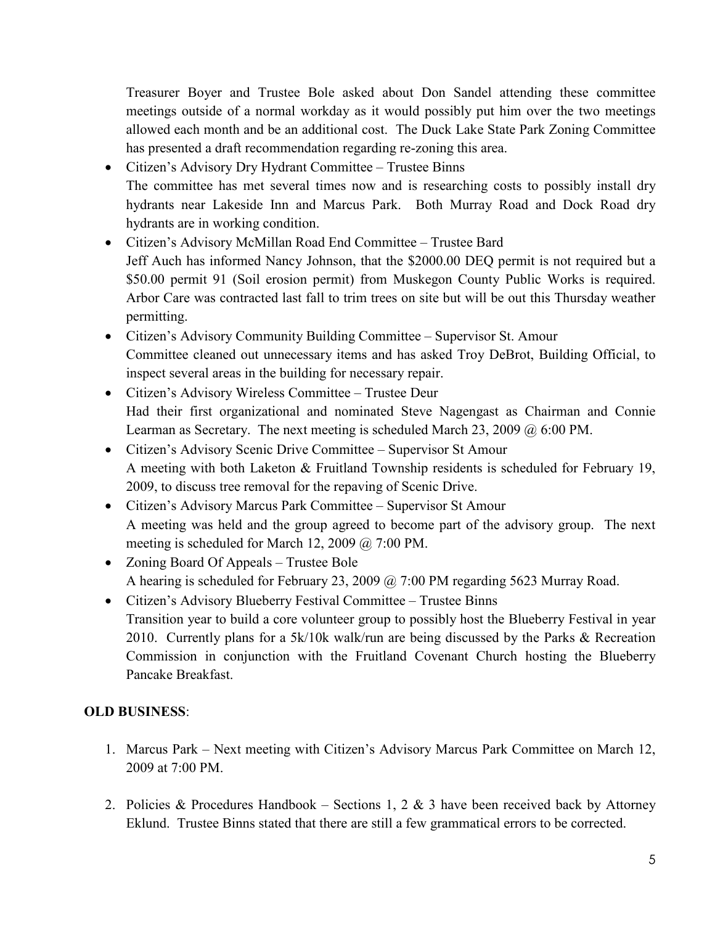Treasurer Boyer and Trustee Bole asked about Don Sandel attending these committee meetings outside of a normal workday as it would possibly put him over the two meetings allowed each month and be an additional cost. The Duck Lake State Park Zoning Committee has presented a draft recommendation regarding re-zoning this area.

- Citizen's Advisory Dry Hydrant Committee Trustee Binns The committee has met several times now and is researching costs to possibly install dry hydrants near Lakeside Inn and Marcus Park. Both Murray Road and Dock Road dry hydrants are in working condition.
- Citizen's Advisory McMillan Road End Committee Trustee Bard Jeff Auch has informed Nancy Johnson, that the \$2000.00 DEQ permit is not required but a \$50.00 permit 91 (Soil erosion permit) from Muskegon County Public Works is required. Arbor Care was contracted last fall to trim trees on site but will be out this Thursday weather permitting.
- Citizen's Advisory Community Building Committee Supervisor St. Amour Committee cleaned out unnecessary items and has asked Troy DeBrot, Building Official, to inspect several areas in the building for necessary repair.
- Citizen's Advisory Wireless Committee Trustee Deur Had their first organizational and nominated Steve Nagengast as Chairman and Connie Learman as Secretary. The next meeting is scheduled March 23, 2009 @ 6:00 PM.
- Citizen's Advisory Scenic Drive Committee Supervisor St Amour A meeting with both Laketon & Fruitland Township residents is scheduled for February 19, 2009, to discuss tree removal for the repaving of Scenic Drive.
- Citizen's Advisory Marcus Park Committee Supervisor St Amour A meeting was held and the group agreed to become part of the advisory group. The next meeting is scheduled for March 12, 2009 @ 7:00 PM.
- Zoning Board Of Appeals Trustee Bole A hearing is scheduled for February 23, 2009 @ 7:00 PM regarding 5623 Murray Road.
- Citizen's Advisory Blueberry Festival Committee Trustee Binns Transition year to build a core volunteer group to possibly host the Blueberry Festival in year 2010. Currently plans for a 5k/10k walk/run are being discussed by the Parks & Recreation Commission in conjunction with the Fruitland Covenant Church hosting the Blueberry Pancake Breakfast.

## OLD BUSINESS:

- 1. Marcus Park Next meeting with Citizen's Advisory Marcus Park Committee on March 12, 2009 at 7:00 PM.
- 2. Policies & Procedures Handbook Sections 1, 2 & 3 have been received back by Attorney Eklund. Trustee Binns stated that there are still a few grammatical errors to be corrected.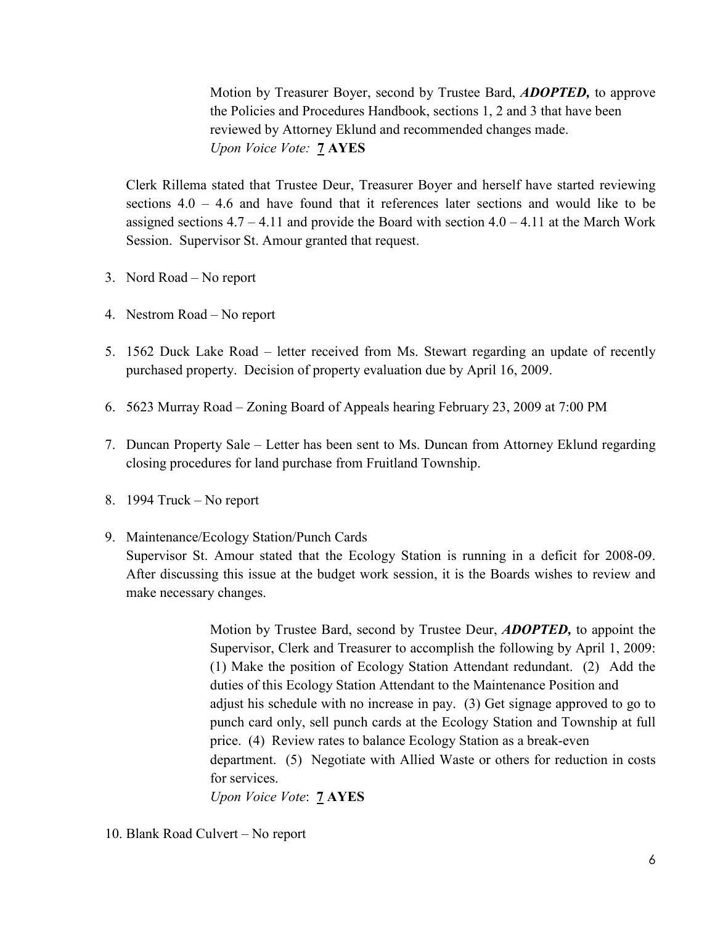Motion by Treasurer Boyer, second by Trustee Bard, ADOPTED, to approve the Policies and Procedures Handbook, sections 1, 2 and 3 that have been reviewed by Attorney Eklund and recommended changes made. Upon Voice Vote: **7 AYES** 

Clerk Rillema stated that Trustee Deur, Treasurer Boyer and herself have started reviewing sections 4.0 – 4.6 and have found that it references later sections and would like to be assigned sections  $4.7 - 4.11$  and provide the Board with section  $4.0 - 4.11$  at the March Work Session. Supervisor St. Amour granted that request.

- 3. Nord Road No report
- 4. Nestrom Road No report
- 5. 1562 Duck Lake Road letter received from Ms. Stewart regarding an update of recently purchased property. Decision of property evaluation due by April 16, 2009.
- 6. 5623 Murray Road Zoning Board of Appeals hearing February 23, 2009 at 7:00 PM
- 7. Duncan Property Sale Letter has been sent to Ms. Duncan from Attorney Eklund regarding closing procedures for land purchase from Fruitland Township.
- 8. 1994 Truck No report
- 9. Maintenance/Ecology Station/Punch Cards

Supervisor St. Amour stated that the Ecology Station is running in a deficit for 2008-09. After discussing this issue at the budget work session, it is the Boards wishes to review and make necessary changes.

> Motion by Trustee Bard, second by Trustee Deur, ADOPTED, to appoint the Supervisor, Clerk and Treasurer to accomplish the following by April 1, 2009: (1) Make the position of Ecology Station Attendant redundant. (2) Add the duties of this Ecology Station Attendant to the Maintenance Position and adjust his schedule with no increase in pay. (3) Get signage approved to go to punch card only, sell punch cards at the Ecology Station and Township at full price. (4) Review rates to balance Ecology Station as a break-even department. (5) Negotiate with Allied Waste or others for reduction in costs for services.

Upon Voice Vote: 7 AYES

#### 10. Blank Road Culvert – No report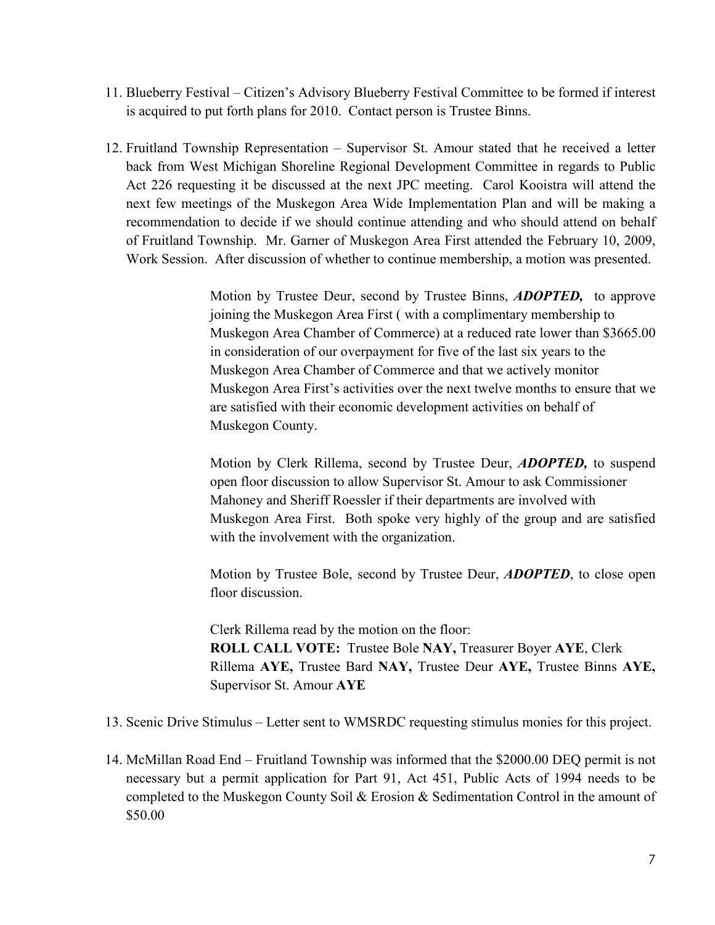- 11. Blueberry Festival Citizen's Advisory Blueberry Festival Committee to be formed if interest is acquired to put forth plans for 2010. Contact person is Trustee Binns.
- 12. Fruitland Township Representation Supervisor St. Amour stated that he received a letter back from West Michigan Shoreline Regional Development Committee in regards to Public Act 226 requesting it be discussed at the next JPC meeting. Carol Kooistra will attend the next few meetings of the Muskegon Area Wide Implementation Plan and will be making a recommendation to decide if we should continue attending and who should attend on behalf of Fruitland Township. Mr. Garner of Muskegon Area First attended the February 10, 2009, Work Session. After discussion of whether to continue membership, a motion was presented.

Motion by Trustee Deur, second by Trustee Binns, **ADOPTED**, to approve joining the Muskegon Area First ( with a complimentary membership to Muskegon Area Chamber of Commerce) at a reduced rate lower than \$3665.00 in consideration of our overpayment for five of the last six years to the Muskegon Area Chamber of Commerce and that we actively monitor Muskegon Area First's activities over the next twelve months to ensure that we are satisfied with their economic development activities on behalf of Muskegon County.

Motion by Clerk Rillema, second by Trustee Deur, **ADOPTED**, to suspend open floor discussion to allow Supervisor St. Amour to ask Commissioner Mahoney and Sheriff Roessler if their departments are involved with Muskegon Area First. Both spoke very highly of the group and are satisfied with the involvement with the organization.

Motion by Trustee Bole, second by Trustee Deur, **ADOPTED**, to close open floor discussion.

 Clerk Rillema read by the motion on the floor: ROLL CALL VOTE: Trustee Bole NAY, Treasurer Boyer AYE, Clerk Rillema AYE, Trustee Bard NAY, Trustee Deur AYE, Trustee Binns AYE, Supervisor St. Amour AYE

- 13. Scenic Drive Stimulus Letter sent to WMSRDC requesting stimulus monies for this project.
- 14. McMillan Road End Fruitland Township was informed that the \$2000.00 DEQ permit is not necessary but a permit application for Part 91, Act 451, Public Acts of 1994 needs to be completed to the Muskegon County Soil & Erosion & Sedimentation Control in the amount of \$50.00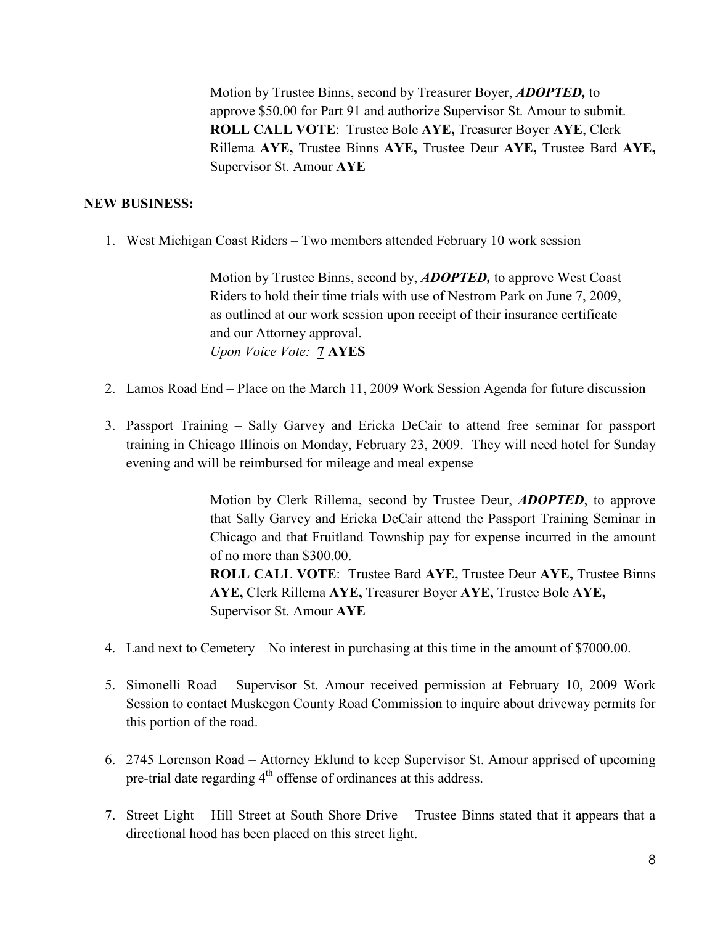Motion by Trustee Binns, second by Treasurer Boyer, **ADOPTED**, to approve \$50.00 for Part 91 and authorize Supervisor St. Amour to submit. ROLL CALL VOTE: Trustee Bole AYE, Treasurer Boyer AYE, Clerk Rillema AYE, Trustee Binns AYE, Trustee Deur AYE, Trustee Bard AYE, Supervisor St. Amour AYE

#### NEW BUSINESS:

1. West Michigan Coast Riders – Two members attended February 10 work session

 Motion by Trustee Binns, second by, ADOPTED, to approve West Coast Riders to hold their time trials with use of Nestrom Park on June 7, 2009, as outlined at our work session upon receipt of their insurance certificate and our Attorney approval. Upon Voice Vote: 7 AYES

- 2. Lamos Road End Place on the March 11, 2009 Work Session Agenda for future discussion
- 3. Passport Training Sally Garvey and Ericka DeCair to attend free seminar for passport training in Chicago Illinois on Monday, February 23, 2009. They will need hotel for Sunday evening and will be reimbursed for mileage and meal expense

Motion by Clerk Rillema, second by Trustee Deur, **ADOPTED**, to approve that Sally Garvey and Ericka DeCair attend the Passport Training Seminar in Chicago and that Fruitland Township pay for expense incurred in the amount of no more than \$300.00. ROLL CALL VOTE: Trustee Bard AYE, Trustee Deur AYE, Trustee Binns

 AYE, Clerk Rillema AYE, Treasurer Boyer AYE, Trustee Bole AYE, Supervisor St. Amour AYE

- 4. Land next to Cemetery No interest in purchasing at this time in the amount of \$7000.00.
- 5. Simonelli Road Supervisor St. Amour received permission at February 10, 2009 Work Session to contact Muskegon County Road Commission to inquire about driveway permits for this portion of the road.
- 6. 2745 Lorenson Road Attorney Eklund to keep Supervisor St. Amour apprised of upcoming pre-trial date regarding  $4<sup>th</sup>$  offense of ordinances at this address.
- 7. Street Light Hill Street at South Shore Drive Trustee Binns stated that it appears that a directional hood has been placed on this street light.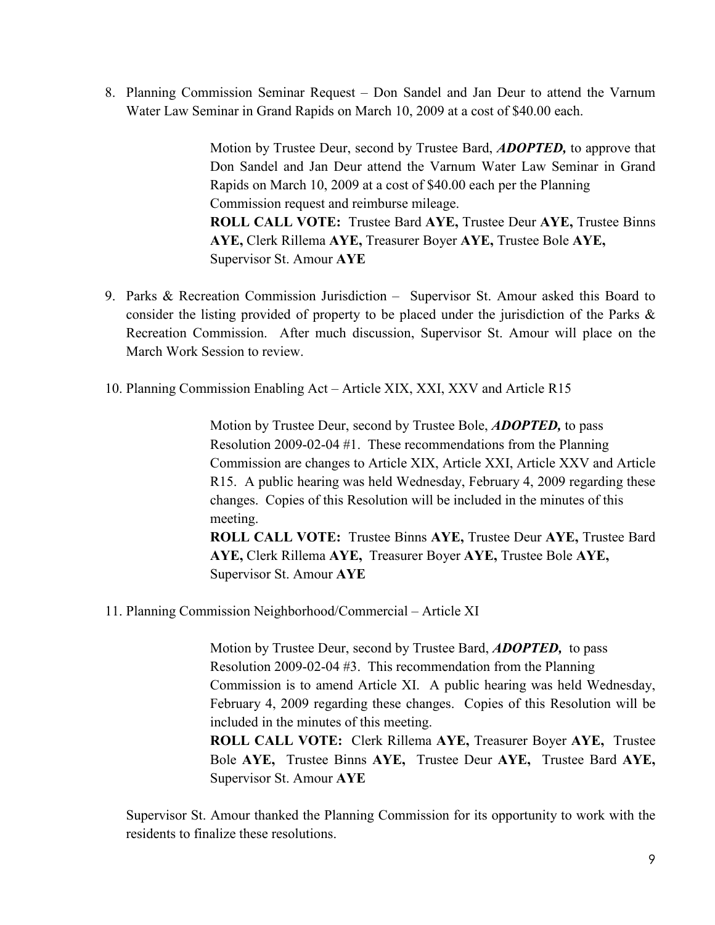8. Planning Commission Seminar Request – Don Sandel and Jan Deur to attend the Varnum Water Law Seminar in Grand Rapids on March 10, 2009 at a cost of \$40.00 each.

> Motion by Trustee Deur, second by Trustee Bard, **ADOPTED**, to approve that Don Sandel and Jan Deur attend the Varnum Water Law Seminar in Grand Rapids on March 10, 2009 at a cost of \$40.00 each per the Planning Commission request and reimburse mileage. ROLL CALL VOTE: Trustee Bard AYE, Trustee Deur AYE, Trustee Binns AYE, Clerk Rillema AYE, Treasurer Boyer AYE, Trustee Bole AYE, Supervisor St. Amour AYE

- 9. Parks & Recreation Commission Jurisdiction Supervisor St. Amour asked this Board to consider the listing provided of property to be placed under the jurisdiction of the Parks & Recreation Commission. After much discussion, Supervisor St. Amour will place on the March Work Session to review.
- 10. Planning Commission Enabling Act Article XIX, XXI, XXV and Article R15

Motion by Trustee Deur, second by Trustee Bole, **ADOPTED**, to pass Resolution 2009-02-04 #1. These recommendations from the Planning Commission are changes to Article XIX, Article XXI, Article XXV and Article R15. A public hearing was held Wednesday, February 4, 2009 regarding these changes. Copies of this Resolution will be included in the minutes of this meeting. ROLL CALL VOTE: Trustee Binns AYE, Trustee Deur AYE, Trustee Bard

 AYE, Clerk Rillema AYE, Treasurer Boyer AYE, Trustee Bole AYE, Supervisor St. Amour AYE

11. Planning Commission Neighborhood/Commercial – Article XI

Motion by Trustee Deur, second by Trustee Bard, **ADOPTED**, to pass Resolution 2009-02-04 #3. This recommendation from the Planning Commission is to amend Article XI. A public hearing was held Wednesday, February 4, 2009 regarding these changes. Copies of this Resolution will be included in the minutes of this meeting.

 ROLL CALL VOTE: Clerk Rillema AYE, Treasurer Boyer AYE, Trustee Bole AYE, Trustee Binns AYE, Trustee Deur AYE, Trustee Bard AYE, Supervisor St. Amour AYE

Supervisor St. Amour thanked the Planning Commission for its opportunity to work with the residents to finalize these resolutions.